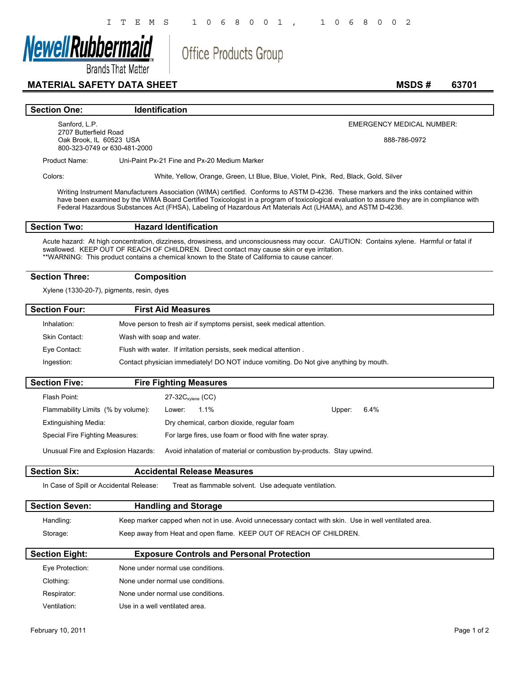**Office Products Group** 



**Brands That Matter** 

# **MATERIAL SAFETY DATA SHEET** MSDS # 63701

#### **Section One:** Identification

Sanford, L.P. 2707 Butterfield Road Oak Brook, IL 60523 USA 800-323-0749 or 630-481-2000 EMERGENCY MEDICAL NUMBER:

888-786-0972

Product Name: Uni-Paint Px-21 Fine and Px-20 Medium Marker

 $\lceil$ 

 $\mathsf{I}$ 

Colors: White, Yellow, Orange, Green, Lt Blue, Blue, Violet, Pink, Red, Black, Gold, Silver

Writing Instrument Manufacturers Association (WIMA) certified. Conforms to ASTM D-4236. These markers and the inks contained within have been examined by the WIMA Board Certified Toxicologist in a program of toxicological evaluation to assure they are in compliance with Federal Hazardous Substances Act (FHSA), Labeling of Hazardous Art Materials Act (LHAMA), and ASTM D-4236.

### **Section Two: Hazard Identification**

Acute hazard: At high concentration, dizziness, drowsiness, and unconsciousness may occur. CAUTION: Contains xylene. Harmful or fatal if swallowed. KEEP OUT OF REACH OF CHILDREN. Direct contact may cause skin or eye irritation. \*\*WARNING: This product contains a chemical known to the State of California to cause cancer.

### **Section Three: Composition**

Xylene (1330-20-7), pigments, resin, dyes

| <b>Section Four:</b> | <b>First Aid Measures</b>                                                             |  |
|----------------------|---------------------------------------------------------------------------------------|--|
| Inhalation:          | Move person to fresh air if symptoms persist, seek medical attention.                 |  |
| Skin Contact:        | Wash with soap and water.                                                             |  |
| Eye Contact:         | Flush with water. If irritation persists, seek medical attention.                     |  |
| Ingestion:           | Contact physician immediately! DO NOT induce vomiting. Do Not give anything by mouth. |  |

| <b>Section Five:</b>                |                           | <b>Fire Fighting Measures</b> |                                                                      |        |      |
|-------------------------------------|---------------------------|-------------------------------|----------------------------------------------------------------------|--------|------|
| Flash Point:                        | $27-32C_{x\nu lene}$ (CC) |                               |                                                                      |        |      |
| Flammability Limits (% by volume):  | Lower:                    | $1.1\%$                       |                                                                      | Upper: | 6.4% |
| Extinguishing Media:                |                           |                               | Dry chemical, carbon dioxide, regular foam                           |        |      |
| Special Fire Fighting Measures:     |                           |                               | For large fires, use foam or flood with fine water spray.            |        |      |
| Unusual Fire and Explosion Hazards: |                           |                               | Avoid inhalation of material or combustion by-products. Stay upwind. |        |      |

#### **Section Six: Accidental Release Measures**

In Case of Spill or Accidental Release: Treat as flammable solvent. Use adequate ventilation.

| <b>Section Seven:</b> | <b>Handling and Storage</b>                                                                           |
|-----------------------|-------------------------------------------------------------------------------------------------------|
| Handling:             | Keep marker capped when not in use. Avoid unnecessary contact with skin. Use in well ventilated area. |
| Storage:              | Keep away from Heat and open flame. KEEP OUT OF REACH OF CHILDREN.                                    |

| <b>Section Eight:</b> | <b>Exposure Controls and Personal Protection</b> |  |
|-----------------------|--------------------------------------------------|--|
| Eye Protection:       | None under normal use conditions.                |  |
| Clothing:             | None under normal use conditions.                |  |
| Respirator:           | None under normal use conditions.                |  |
| Ventilation:          | Use in a well ventilated area.                   |  |